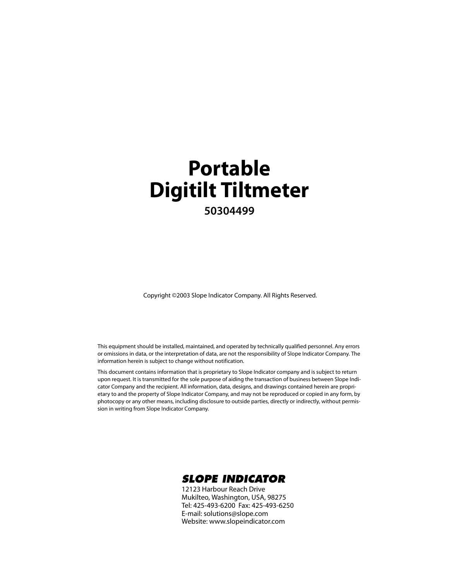### **Portable Digitilt Tiltmeter 50304499**

Copyright ©2003 Slope Indicator Company. All Rights Reserved.

This equipment should be installed, maintained, and operated by technically qualified personnel. Any errors or omissions in data, or the interpretation of data, are not the responsibility of Slope Indicator Company. The information herein is subject to change without notification.

This document contains information that is proprietary to Slope Indicator company and is subject to return upon request. It is transmitted for the sole purpose of aiding the transaction of business between Slope Indicator Company and the recipient. All information, data, designs, and drawings contained herein are proprietary to and the property of Slope Indicator Company, and may not be reproduced or copied in any form, by photocopy or any other means, including disclosure to outside parties, directly or indirectly, without permission in writing from Slope Indicator Company.



12123 Harbour Reach Drive Mukilteo, Washington, USA, 98275 Tel: 425-493-6200 Fax: 425-493-6250 E-mail: solutions@slope.com Website: www.slopeindicator.com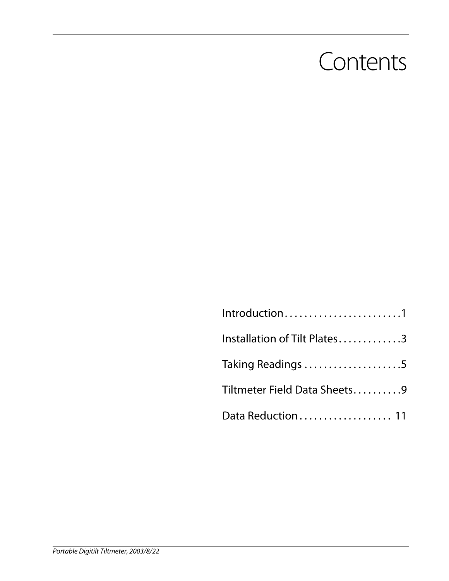### **Contents**

| Introduction1                |
|------------------------------|
| Installation of Tilt Plates3 |
| Taking Readings 5            |
| Tiltmeter Field Data Sheets9 |
| Data Reduction  11           |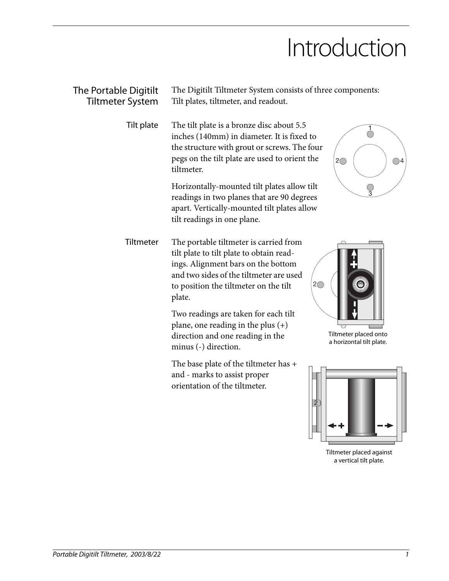### Introduction

| The Portable Digitilt<br><b>Tiltmeter System</b> | The Digitilt Tiltmeter System consists of three components:<br>Tilt plates, tiltmeter, and readout.                                                                                                                                  |                                                   |  |  |  |
|--------------------------------------------------|--------------------------------------------------------------------------------------------------------------------------------------------------------------------------------------------------------------------------------------|---------------------------------------------------|--|--|--|
| Tilt plate                                       | The tilt plate is a bronze disc about 5.5<br>inches (140mm) in diameter. It is fixed to<br>the structure with grout or screws. The four<br>pegs on the tilt plate are used to orient the<br>$2\bigcap$<br>$\bigcirc$ 4<br>tiltmeter. |                                                   |  |  |  |
|                                                  | Horizontally-mounted tilt plates allow tilt<br>readings in two planes that are 90 degrees<br>apart. Vertically-mounted tilt plates allow<br>tilt readings in one plane.                                                              | ्<br>3                                            |  |  |  |
| Tiltmeter                                        | The portable tiltmeter is carried from<br>tilt plate to tilt plate to obtain read-<br>ings. Alignment bars on the bottom<br>and two sides of the tiltmeter are used<br>to position the tiltmeter on the tilt<br>plate.               | $2\circ$                                          |  |  |  |
|                                                  | Two readings are taken for each tilt<br>plane, one reading in the plus $(+)$<br>direction and one reading in the<br>minus (-) direction.                                                                                             | Tiltmeter placed onto<br>a horizontal tilt plate. |  |  |  |
|                                                  | The base plate of the tiltmeter has +<br>and - marks to assist proper<br>orientation of the tiltmeter.                                                                                                                               | $\overline{2}$                                    |  |  |  |

Tiltmeter placed against a vertical tilt plate.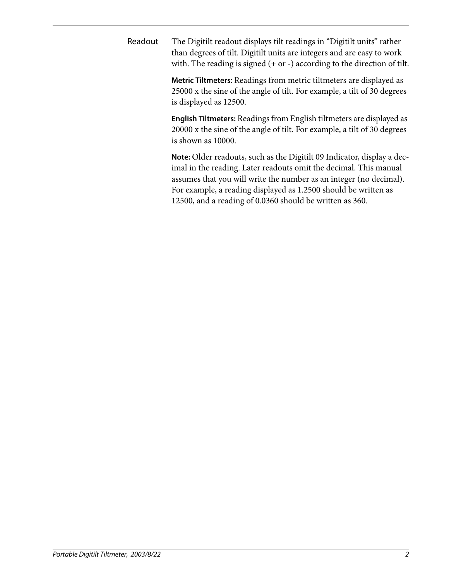Readout The Digitilt readout displays tilt readings in "Digitilt units" rather than degrees of tilt. Digitilt units are integers and are easy to work with. The reading is signed (+ or -) according to the direction of tilt.

> **Metric Tiltmeters:** Readings from metric tiltmeters are displayed as 25000 x the sine of the angle of tilt. For example, a tilt of 30 degrees is displayed as 12500.

> **English Tiltmeters:** Readings from English tiltmeters are displayed as 20000 x the sine of the angle of tilt. For example, a tilt of 30 degrees is shown as 10000.

> **Note:** Older readouts, such as the Digitilt 09 Indicator, display a decimal in the reading. Later readouts omit the decimal. This manual assumes that you will write the number as an integer (no decimal). For example, a reading displayed as 1.2500 should be written as 12500, and a reading of 0.0360 should be written as 360.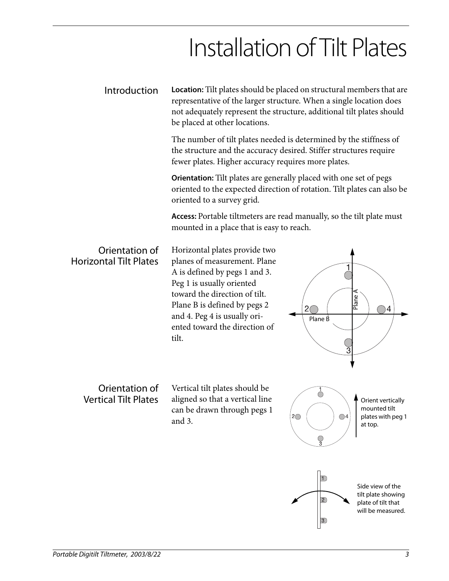# Installation of Tilt Plates

Introduction **Location:** Tilt plates should be placed on structural members that are representative of the larger structure. When a single location does not adequately represent the structure, additional tilt plates should be placed at other locations.

> The number of tilt plates needed is determined by the stiffness of the structure and the accuracy desired. Stiffer structures require fewer plates. Higher accuracy requires more plates.

**Orientation:** Tilt plates are generally placed with one set of pegs oriented to the expected direction of rotation. Tilt plates can also be oriented to a survey grid.

**Access:** Portable tiltmeters are read manually, so the tilt plate must mounted in a place that is easy to reach.

#### Orientation of Horizontal Tilt Plates

Horizontal plates provide two planes of measurement. Plane A is defined by pegs 1 and 3. Peg 1 is usually oriented toward the direction of tilt. Plane B is defined by pegs 2 and 4. Peg 4 is usually oriented toward the direction of tilt.

#### Orientation of Vertical Tilt Plates

Vertical tilt plates should be aligned so that a vertical line can be drawn through pegs 1 and 3.

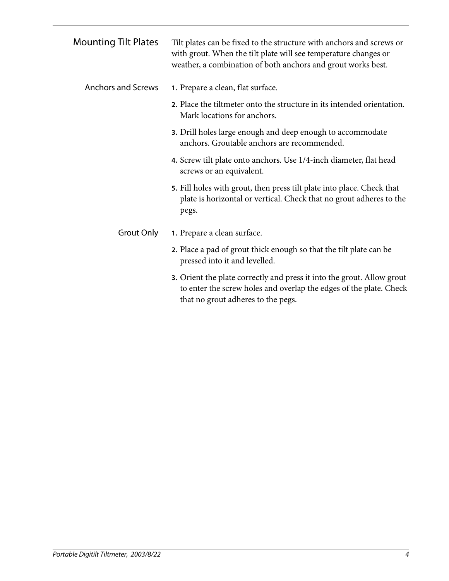| <b>Mounting Tilt Plates</b> | Tilt plates can be fixed to the structure with anchors and screws or<br>with grout. When the tilt plate will see temperature changes or<br>weather, a combination of both anchors and grout works best. |
|-----------------------------|---------------------------------------------------------------------------------------------------------------------------------------------------------------------------------------------------------|
| <b>Anchors and Screws</b>   | 1. Prepare a clean, flat surface.                                                                                                                                                                       |
|                             | 2. Place the tiltmeter onto the structure in its intended orientation.<br>Mark locations for anchors.                                                                                                   |
|                             | 3. Drill holes large enough and deep enough to accommodate<br>anchors. Groutable anchors are recommended.                                                                                               |
|                             | 4. Screw tilt plate onto anchors. Use 1/4-inch diameter, flat head<br>screws or an equivalent.                                                                                                          |
|                             | 5. Fill holes with grout, then press tilt plate into place. Check that<br>plate is horizontal or vertical. Check that no grout adheres to the<br>pegs.                                                  |
| Grout Only                  | 1. Prepare a clean surface.                                                                                                                                                                             |
|                             | 2. Place a pad of grout thick enough so that the tilt plate can be<br>pressed into it and levelled.                                                                                                     |
|                             | 3. Orient the plate correctly and press it into the grout. Allow grout<br>to enter the screw holes and overlap the edges of the plate. Check<br>that no grout adheres to the pegs.                      |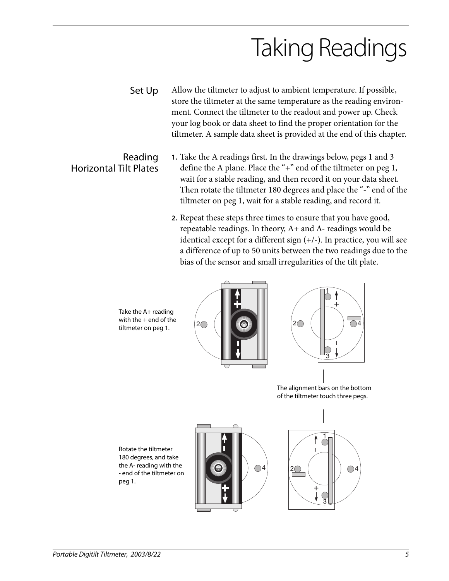# Taking Readings

- Set Up Allow the tiltmeter to adjust to ambient temperature. If possible, store the tiltmeter at the same temperature as the reading environment. Connect the tiltmeter to the readout and power up. Check your log book or data sheet to find the proper orientation for the tiltmeter. A sample data sheet is provided at the end of this chapter.
	- **1.** Take the A readings first. In the drawings below, pegs 1 and 3 define the A plane. Place the "+" end of the tiltmeter on peg 1, wait for a stable reading, and then record it on your data sheet. Then rotate the tiltmeter 180 degrees and place the "-" end of the tiltmeter on peg 1, wait for a stable reading, and record it.
		- **2.** Repeat these steps three times to ensure that you have good, repeatable readings. In theory, A+ and A- readings would be identical except for a different sign (+/-). In practice, you will see a difference of up to 50 units between the two readings due to the bias of the sensor and small irregularities of the tilt plate.

Take the A+ reading with the  $+$  end of the tiltmeter on peg 1.





The alignment bars on the bottom of the tiltmeter touch three pegs.

Rotate the tiltmeter 180 degrees, and take the A- reading with the - end of the tiltmeter on peg 1.





Horizontal Tilt Plates

Reading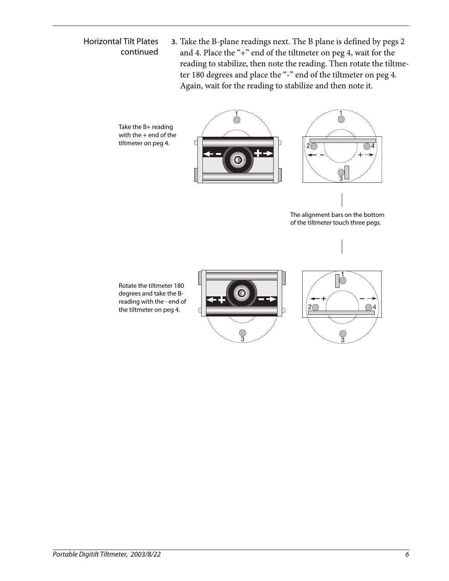#### Horizontal Tilt Plates continued

Take the B+ reading

tiltmeter on peg 4.

**3.** Take the B-plane readings next. The B plane is defined by pegs 2 and 4. Place the "+" end of the tiltmeter on peg 4, wait for the reading to stabilize, then note the reading. Then rotate the tiltmeter 180 degrees and place the "-" end of the tiltmeter on peg 4. Again, wait for the reading to stabilize and then note it.





The alignment bars on the bottom of the tiltmeter touch three pegs.

Rotate the tiltmeter 180 degrees and take the Breading with the - end of the tiltmeter on peg 4.



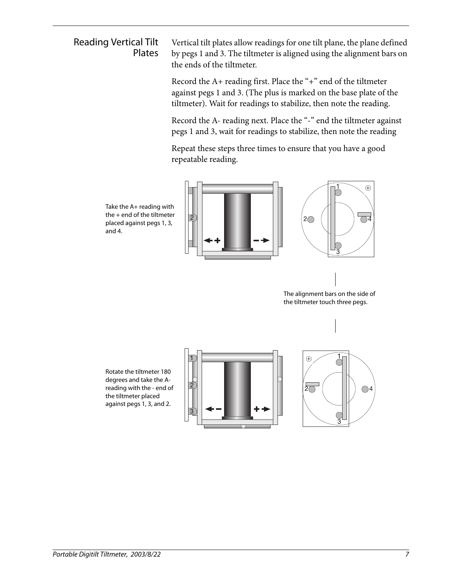#### Reading Vertical Tilt Plates

Vertical tilt plates allow readings for one tilt plane, the plane defined by pegs 1 and 3. The tiltmeter is aligned using the alignment bars on the ends of the tiltmeter.

Record the A+ reading first. Place the "+" end of the tiltmeter against pegs 1 and 3. (The plus is marked on the base plate of the tiltmeter). Wait for readings to stabilize, then note the reading.

Record the A- reading next. Place the "-" end the tiltmeter against pegs 1 and 3, wait for readings to stabilize, then note the reading

Repeat these steps three times to ensure that you have a good repeatable reading.

Take the A+ reading with the + end of the tiltmeter placed against pegs 1, 3, and 4.





The alignment bars on the side of the tiltmeter touch three pegs.

Rotate the tiltmeter 180 degrees and take the Areading with the - end of the tiltmeter placed against pegs 1, 3, and 2.



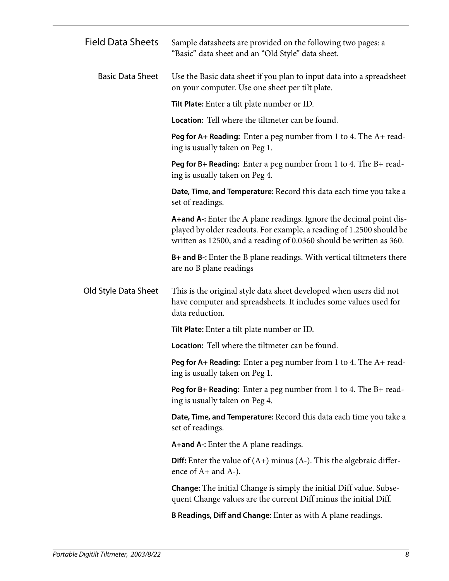| <b>Field Data Sheets</b> | Sample datasheets are provided on the following two pages: a<br>"Basic" data sheet and an "Old Style" data sheet.                                                                                                  |  |  |  |  |
|--------------------------|--------------------------------------------------------------------------------------------------------------------------------------------------------------------------------------------------------------------|--|--|--|--|
| <b>Basic Data Sheet</b>  | Use the Basic data sheet if you plan to input data into a spreadsheet<br>on your computer. Use one sheet per tilt plate.                                                                                           |  |  |  |  |
|                          | <b>Tilt Plate:</b> Enter a tilt plate number or ID.                                                                                                                                                                |  |  |  |  |
|                          | <b>Location:</b> Tell where the tiltmeter can be found.                                                                                                                                                            |  |  |  |  |
|                          | <b>Peg for A+ Reading:</b> Enter a peg number from 1 to 4. The $A+$ read-<br>ing is usually taken on Peg 1.                                                                                                        |  |  |  |  |
|                          | <b>Peg for B+ Reading:</b> Enter a peg number from 1 to 4. The B+ read-<br>ing is usually taken on Peg 4.                                                                                                          |  |  |  |  |
|                          | Date, Time, and Temperature: Record this data each time you take a<br>set of readings.                                                                                                                             |  |  |  |  |
|                          | A+and A-: Enter the A plane readings. Ignore the decimal point dis-<br>played by older readouts. For example, a reading of 1.2500 should be<br>written as 12500, and a reading of 0.0360 should be written as 360. |  |  |  |  |
|                          | <b>B+ and B-:</b> Enter the B plane readings. With vertical tiltmeters there<br>are no B plane readings                                                                                                            |  |  |  |  |
| Old Style Data Sheet     | This is the original style data sheet developed when users did not<br>have computer and spreadsheets. It includes some values used for<br>data reduction.                                                          |  |  |  |  |
|                          | <b>Tilt Plate:</b> Enter a tilt plate number or ID.                                                                                                                                                                |  |  |  |  |
|                          | <b>Location:</b> Tell where the tiltmeter can be found.                                                                                                                                                            |  |  |  |  |
|                          | <b>Peg for A+ Reading:</b> Enter a peg number from 1 to 4. The $A+$ read-<br>ing is usually taken on Peg 1.                                                                                                        |  |  |  |  |
|                          | Peg for B+ Reading: Enter a peg number from 1 to 4. The B+ read-<br>ing is usually taken on Peg 4.                                                                                                                 |  |  |  |  |
|                          | Date, Time, and Temperature: Record this data each time you take a<br>set of readings.                                                                                                                             |  |  |  |  |
|                          | A+and A-: Enter the A plane readings.                                                                                                                                                                              |  |  |  |  |
|                          | <b>Diff:</b> Enter the value of $(A+)$ minus $(A-)$ . This the algebraic differ-<br>ence of A+ and A-).                                                                                                            |  |  |  |  |
|                          | <b>Change:</b> The initial Change is simply the initial Diff value. Subse-<br>quent Change values are the current Diff minus the initial Diff.                                                                     |  |  |  |  |
|                          | <b>B Readings, Diff and Change:</b> Enter as with A plane readings.                                                                                                                                                |  |  |  |  |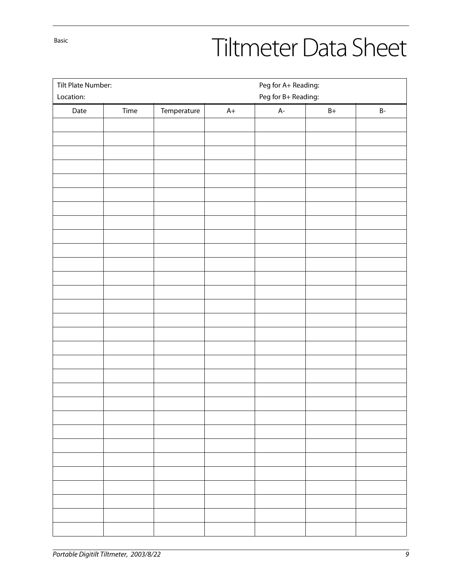Basic

# Tiltmeter Data Sheet

| Tilt Plate Number:<br>Location: |      |             |      | Peg for A+ Reading:<br>Peg for B+ Reading: |               |                     |  |  |
|---------------------------------|------|-------------|------|--------------------------------------------|---------------|---------------------|--|--|
| Date                            | Time | Temperature | $A+$ | $A-$                                       | $\mathsf{B}+$ | $\mathsf B\text{-}$ |  |  |
|                                 |      |             |      |                                            |               |                     |  |  |
|                                 |      |             |      |                                            |               |                     |  |  |
|                                 |      |             |      |                                            |               |                     |  |  |
|                                 |      |             |      |                                            |               |                     |  |  |
|                                 |      |             |      |                                            |               |                     |  |  |
|                                 |      |             |      |                                            |               |                     |  |  |
|                                 |      |             |      |                                            |               |                     |  |  |
|                                 |      |             |      |                                            |               |                     |  |  |
|                                 |      |             |      |                                            |               |                     |  |  |
|                                 |      |             |      |                                            |               |                     |  |  |
|                                 |      |             |      |                                            |               |                     |  |  |
|                                 |      |             |      |                                            |               |                     |  |  |
|                                 |      |             |      |                                            |               |                     |  |  |
|                                 |      |             |      |                                            |               |                     |  |  |
|                                 |      |             |      |                                            |               |                     |  |  |
|                                 |      |             |      |                                            |               |                     |  |  |
|                                 |      |             |      |                                            |               |                     |  |  |
|                                 |      |             |      |                                            |               |                     |  |  |
|                                 |      |             |      |                                            |               |                     |  |  |
|                                 |      |             |      |                                            |               |                     |  |  |
|                                 |      |             |      |                                            |               |                     |  |  |
|                                 |      |             |      |                                            |               |                     |  |  |
|                                 |      |             |      |                                            |               |                     |  |  |
|                                 |      |             |      |                                            |               |                     |  |  |
|                                 |      |             |      |                                            |               |                     |  |  |
|                                 |      |             |      |                                            |               |                     |  |  |
|                                 |      |             |      |                                            |               |                     |  |  |
|                                 |      |             |      |                                            |               |                     |  |  |
|                                 |      |             |      |                                            |               |                     |  |  |
|                                 |      |             |      |                                            |               |                     |  |  |
|                                 |      |             |      |                                            |               |                     |  |  |
|                                 |      |             |      |                                            |               |                     |  |  |
|                                 |      |             |      |                                            |               |                     |  |  |
|                                 |      |             |      |                                            |               |                     |  |  |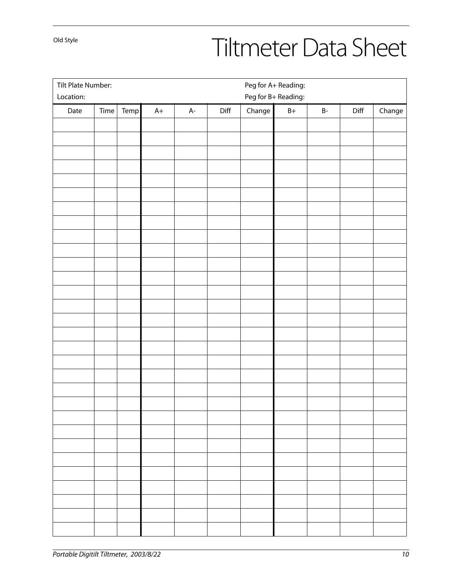Old Style

# Tiltmeter Data Sheet

| Tilt Plate Number:<br>Peg for A+ Reading: |                     |      |      |      |      |        |               |                     |      |        |
|-------------------------------------------|---------------------|------|------|------|------|--------|---------------|---------------------|------|--------|
| Location:                                 | Peg for B+ Reading: |      |      |      |      |        |               |                     |      |        |
| Date                                      | Time                | Temp | $A+$ | $A-$ | Diff | Change | $\mathsf{B}+$ | $\mathsf B\text{-}$ | Diff | Change |
|                                           |                     |      |      |      |      |        |               |                     |      |        |
|                                           |                     |      |      |      |      |        |               |                     |      |        |
|                                           |                     |      |      |      |      |        |               |                     |      |        |
|                                           |                     |      |      |      |      |        |               |                     |      |        |
|                                           |                     |      |      |      |      |        |               |                     |      |        |
|                                           |                     |      |      |      |      |        |               |                     |      |        |
|                                           |                     |      |      |      |      |        |               |                     |      |        |
|                                           |                     |      |      |      |      |        |               |                     |      |        |
|                                           |                     |      |      |      |      |        |               |                     |      |        |
|                                           |                     |      |      |      |      |        |               |                     |      |        |
|                                           |                     |      |      |      |      |        |               |                     |      |        |
|                                           |                     |      |      |      |      |        |               |                     |      |        |
|                                           |                     |      |      |      |      |        |               |                     |      |        |
|                                           |                     |      |      |      |      |        |               |                     |      |        |
|                                           |                     |      |      |      |      |        |               |                     |      |        |
|                                           |                     |      |      |      |      |        |               |                     |      |        |
|                                           |                     |      |      |      |      |        |               |                     |      |        |
|                                           |                     |      |      |      |      |        |               |                     |      |        |
|                                           |                     |      |      |      |      |        |               |                     |      |        |
|                                           |                     |      |      |      |      |        |               |                     |      |        |
|                                           |                     |      |      |      |      |        |               |                     |      |        |
|                                           |                     |      |      |      |      |        |               |                     |      |        |
|                                           |                     |      |      |      |      |        |               |                     |      |        |
|                                           |                     |      |      |      |      |        |               |                     |      |        |
|                                           |                     |      |      |      |      |        |               |                     |      |        |
|                                           |                     |      |      |      |      |        |               |                     |      |        |
|                                           |                     |      |      |      |      |        |               |                     |      |        |
|                                           |                     |      |      |      |      |        |               |                     |      |        |
|                                           |                     |      |      |      |      |        |               |                     |      |        |
|                                           |                     |      |      |      |      |        |               |                     |      |        |
|                                           |                     |      |      |      |      |        |               |                     |      |        |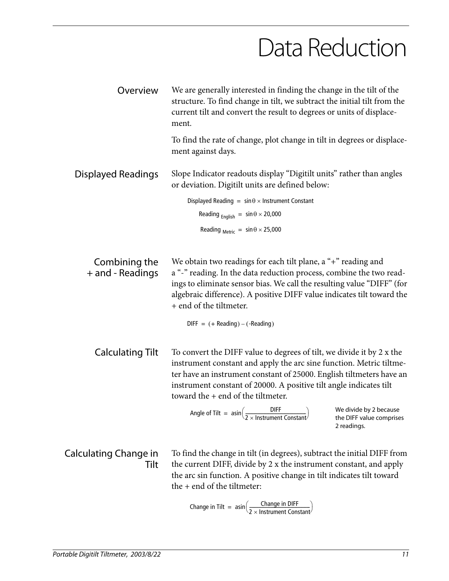### Data Reduction

| Overview                          | We are generally interested in finding the change in the tilt of the<br>structure. To find change in tilt, we subtract the initial tilt from the<br>current tilt and convert the result to degrees or units of displace-<br>ment.                                                                                                  |  |  |  |  |
|-----------------------------------|------------------------------------------------------------------------------------------------------------------------------------------------------------------------------------------------------------------------------------------------------------------------------------------------------------------------------------|--|--|--|--|
|                                   | To find the rate of change, plot change in tilt in degrees or displace-<br>ment against days.                                                                                                                                                                                                                                      |  |  |  |  |
| Displayed Readings                | Slope Indicator readouts display "Digitilt units" rather than angles<br>or deviation. Digitilt units are defined below:                                                                                                                                                                                                            |  |  |  |  |
|                                   | Displayed Reading = $\sin \theta \times$ Instrument Constant                                                                                                                                                                                                                                                                       |  |  |  |  |
|                                   | Reading $_{English}$ = $sin \theta \times 20,000$                                                                                                                                                                                                                                                                                  |  |  |  |  |
|                                   | Reading $_{\text{Metric}}$ = $\sin \theta \times 25,000$                                                                                                                                                                                                                                                                           |  |  |  |  |
|                                   |                                                                                                                                                                                                                                                                                                                                    |  |  |  |  |
| Combining the<br>+ and - Readings | We obtain two readings for each tilt plane, a "+" reading and<br>a "-" reading. In the data reduction process, combine the two read-<br>ings to eliminate sensor bias. We call the resulting value "DIFF" (for<br>algebraic difference). A positive DIFF value indicates tilt toward the<br>+ end of the tiltmeter.                |  |  |  |  |
|                                   | $DIFF = (+ Reading) - (-Reading)$                                                                                                                                                                                                                                                                                                  |  |  |  |  |
| <b>Calculating Tilt</b>           | To convert the DIFF value to degrees of tilt, we divide it by 2 x the<br>instrument constant and apply the arc sine function. Metric tiltme-<br>ter have an instrument constant of 25000. English tiltmeters have an<br>instrument constant of 20000. A positive tilt angle indicates tilt<br>toward the $+$ end of the tiltmeter. |  |  |  |  |
|                                   | Angle of Tilt = $\sin\left(\frac{DIFF}{2 \times Instrument Constant}\right)$ We divide by 2 because<br>the DIFF value comprises<br>2 readings.                                                                                                                                                                                     |  |  |  |  |
| Calculating Change in<br>Tilt     | To find the change in tilt (in degrees), subtract the initial DIFF from<br>the current DIFF, divide by 2 x the instrument constant, and apply<br>the arc sin function. A positive change in tilt indicates tilt toward<br>the + end of the tiltmeter:                                                                              |  |  |  |  |
|                                   |                                                                                                                                                                                                                                                                                                                                    |  |  |  |  |

Change in Tilt = 
$$
asin\left(\frac{Change in DIFF}{2 \times Instrument Constant}\right)
$$